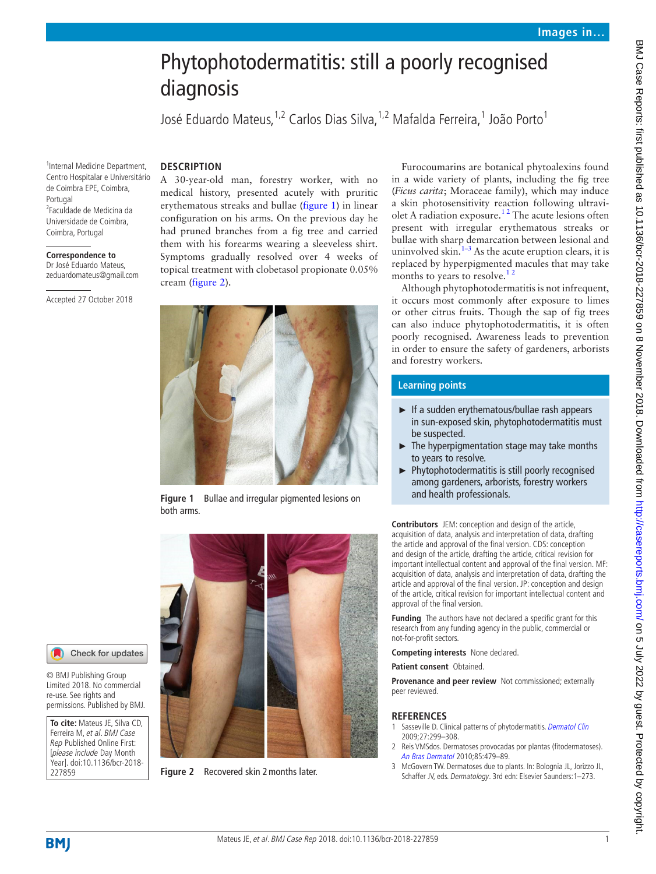## Phytophotodermatitis: still a poorly recognised diagnosis

José Eduardo Mateus,<sup>1,2</sup> Carlos Dias Silva,<sup>1,2</sup> Mafalda Ferreira,<sup>1</sup> João Porto<sup>1</sup>

1 Internal Medicine Department, Centro Hospitalar e Universitário de Coimbra EPE, Coimbra, Portugal 2 Faculdade de Medicina da Universidade de Coimbra, Coimbra, Portugal

**Correspondence to** Dr José Eduardo Mateus, zeduardomateus@gmail.com

Accepted 27 October 2018

**Description** 

A 30-year-old man, forestry worker, with no medical history, presented acutely with pruritic erythematous streaks and bullae [\(figure](#page-0-0) 1) in linear configuration on his arms. On the previous day he had pruned branches from a fig tree and carried them with his forearms wearing a sleeveless shirt. Symptoms gradually resolved over 4 weeks of topical treatment with clobetasol propionate 0.05% cream [\(figure](#page-0-1) 2).



**Figure 1** Bullae and irregular pigmented lesions on both arms.

<span id="page-0-0"></span>

**Figure 2** Recovered skin 2 months later.

Furocoumarins are botanical phytoalexins found in a wide variety of plants, including the fig tree (*Ficus carita*; Moraceae family), which may induce a skin photosensitivity reaction following ultraviolet A radiation exposure[.1 2](#page-0-2) The acute lesions often present with irregular erythematous streaks or bullae with sharp demarcation between lesional and uninvolved skin. $1-3$  As the acute eruption clears, it is replaced by hyperpigmented macules that may take months to years to resolve.<sup>12</sup>

Although phytophotodermatitis is not infrequent, it occurs most commonly after exposure to limes or other citrus fruits. Though the sap of fig trees can also induce phytophotodermatitis, it is often poorly recognised. Awareness leads to prevention in order to ensure the safety of gardeners, arborists and forestry workers.

## **Learning points**

- ► If a sudden erythematous/bullae rash appears in sun-exposed skin, phytophotodermatitis must be suspected.
- ► The hyperpigmentation stage may take months to years to resolve.
- ► Phytophotodermatitis is still poorly recognised among gardeners, arborists, forestry workers and health professionals.

**Contributors** JEM: conception and design of the article, acquisition of data, analysis and interpretation of data, drafting the article and approval of the final version. CDS: conception and design of the article, drafting the article, critical revision for important intellectual content and approval of the final version. MF: acquisition of data, analysis and interpretation of data, drafting the article and approval of the final version. JP: conception and design of the article, critical revision for important intellectual content and approval of the final version.

**Funding** The authors have not declared a specific grant for this research from any funding agency in the public, commercial or not-for-profit sectors.

**Competing interests** None declared.

**Patient consent** Obtained.

**Provenance and peer review** Not commissioned; externally peer reviewed.

## **References**

- <span id="page-0-2"></span>Sasseville D. Clinical patterns of phytodermatitis. [Dermatol Clin](http://dx.doi.org/10.1016/j.det.2009.05.010) 2009;27:299–308.
- 2 Reis VMSdos. Dermatoses provocadas por plantas (fitodermatoses). [An Bras Dermatol](http://dx.doi.org/10.1590/S0365-05962010000400009) 2010;85:479–89.
- 3 McGovern TW. Dermatoses due to plants. In: Bolognia JL, Jorizzo JL, Schaffer JV, eds. Dermatology. 3rd edn: Elsevier Saunders:1–273.

<span id="page-0-1"></span>227859

**To cite:** Mateus JE, Silva CD, Ferreira M, et al. BMJ Case Rep Published Online First: [please include Day Month Year]. doi:10.1136/bcr-2018-

Check for updates

© BMJ Publishing Group Limited 2018. No commercial re-use. See rights and permissions. Published by BMJ.